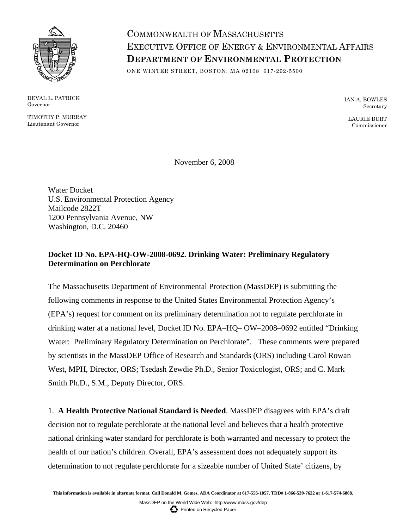

DEVAL L. PATRICK Governor

TIMOTHY P. MURRAY Lieutenant Governor

COMMONWEALTH OF MASSACHUSETTS EXECUTIVE OFFICE OF ENERGY & ENVIRONMENTAL AFFAIRS **DEPARTMENT OF ENVIRONMENTAL PROTECTION**

ONE WINTER STREET, BOSTON, MA 02108 617-292-5500

IAN A. BOWLES Secretary

LAURIE BURT Commissioner

November 6, 2008

Water Docket U.S. Environmental Protection Agency Mailcode 2822T 1200 Pennsylvania Avenue, NW Washington, D.C. 20460

# **Docket ID No. EPA-HQ-OW-2008-0692. Drinking Water: Preliminary Regulatory Determination on Perchlorate**

The Massachusetts Department of Environmental Protection (MassDEP) is submitting the following comments in response to the United States Environmental Protection Agency's (EPA's) request for comment on its preliminary determination not to regulate perchlorate in drinking water at a national level, Docket ID No. EPA–HQ– OW–2008–0692 entitled "Drinking Water: Preliminary Regulatory Determination on Perchlorate". These comments were prepared by scientists in the MassDEP Office of Research and Standards (ORS) including Carol Rowan West, MPH, Director, ORS; Tsedash Zewdie Ph.D., Senior Toxicologist, ORS; and C. Mark Smith Ph.D., S.M., Deputy Director, ORS.

1. **A Health Protective National Standard is Needed**. MassDEP disagrees with EPA's draft decision not to regulate perchlorate at the national level and believes that a health protective national drinking water standard for perchlorate is both warranted and necessary to protect the health of our nation's children. Overall, EPA's assessment does not adequately support its determination to not regulate perchlorate for a sizeable number of United State' citizens, by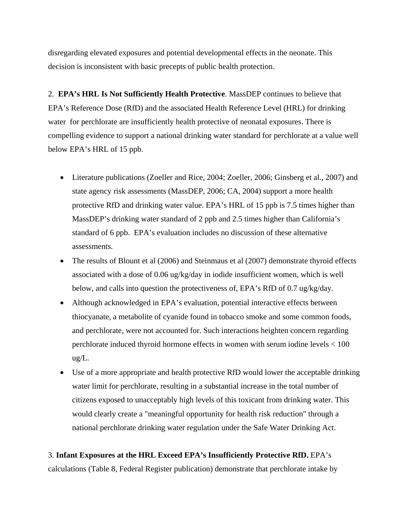disregarding elevated exposures and potential developmental effects in the neonate. This decision is inconsistent with basic precepts of public health protection.

2. **EPA's HRL Is Not Sufficiently Health Protective**. MassDEP continues to believe that EPA's Reference Dose (RfD) and the associated Health Reference Level (HRL) for drinking water for perchlorate are insufficiently health protective of neonatal exposures. There is compelling evidence to support a national drinking water standard for perchlorate at a value well below EPA's HRL of 15 ppb.

- Literature publications (Zoeller and Rice, 2004; Zoeller, 2006; Ginsberg et al., 2007) and state agency risk assessments (MassDEP, 2006; CA, 2004) support a more health protective RfD and drinking water value. EPA's HRL of 15 ppb is 7.5 times higher than MassDEP's drinking water standard of 2 ppb and 2.5 times higher than California's standard of 6 ppb. EPA's evaluation includes no discussion of these alternative assessments.
- The results of Blount et al (2006) and Steinmaus et al (2007) demonstrate thyroid effects associated with a dose of 0.06 ug/kg/day in iodide insufficient women, which is well below, and calls into question the protectiveness of, EPA's RfD of 0.7 ug/kg/day.
- Although acknowledged in EPA's evaluation, potential interactive effects between thiocyanate, a metabolite of cyanide found in tobacco smoke and some common foods, and perchlorate, were not accounted for. Such interactions heighten concern regarding perchlorate induced thyroid hormone effects in women with serum iodine levels < 100 ug/L.
- Use of a more appropriate and health protective RfD would lower the acceptable drinking water limit for perchlorate, resulting in a substantial increase in the total number of citizens exposed to unacceptably high levels of this toxicant from drinking water. This would clearly create a "meaningful opportunity for health risk reduction" through a national perchlorate drinking water regulation under the Safe Water Drinking Act.

# 3. **Infant Exposures at the HRL Exceed EPA's Insufficiently Protective RfD.** EPA's

calculations (Table 8, Federal Register publication) demonstrate that perchlorate intake by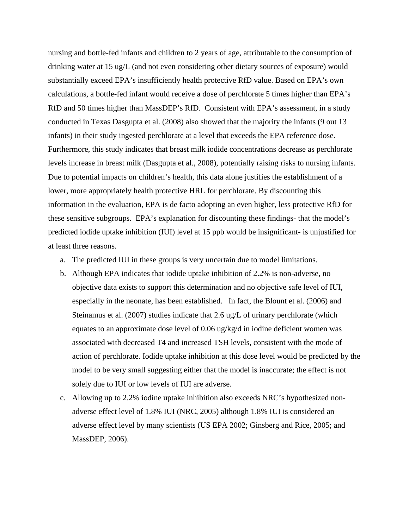nursing and bottle-fed infants and children to 2 years of age, attributable to the consumption of drinking water at 15 ug/L (and not even considering other dietary sources of exposure) would substantially exceed EPA's insufficiently health protective RfD value. Based on EPA's own calculations, a bottle-fed infant would receive a dose of perchlorate 5 times higher than EPA's RfD and 50 times higher than MassDEP's RfD. Consistent with EPA's assessment, in a study conducted in Texas Dasgupta et al. (2008) also showed that the majority the infants (9 out 13 infants) in their study ingested perchlorate at a level that exceeds the EPA reference dose. Furthermore, this study indicates that breast milk iodide concentrations decrease as perchlorate levels increase in breast milk (Dasgupta et al., 2008), potentially raising risks to nursing infants. Due to potential impacts on children's health, this data alone justifies the establishment of a lower, more appropriately health protective HRL for perchlorate. By discounting this information in the evaluation, EPA is de facto adopting an even higher, less protective RfD for these sensitive subgroups. EPA's explanation for discounting these findings- that the model's predicted iodide uptake inhibition (IUI) level at 15 ppb would be insignificant- is unjustified for at least three reasons.

- a. The predicted IUI in these groups is very uncertain due to model limitations.
- b. Although EPA indicates that iodide uptake inhibition of 2.2% is non-adverse, no objective data exists to support this determination and no objective safe level of IUI, especially in the neonate, has been established. In fact, the Blount et al. (2006) and Steinamus et al. (2007) studies indicate that 2.6 ug/L of urinary perchlorate (which equates to an approximate dose level of 0.06 ug/kg/d in iodine deficient women was associated with decreased T4 and increased TSH levels, consistent with the mode of action of perchlorate. Iodide uptake inhibition at this dose level would be predicted by the model to be very small suggesting either that the model is inaccurate; the effect is not solely due to IUI or low levels of IUI are adverse.
- c. Allowing up to 2.2% iodine uptake inhibition also exceeds NRC's hypothesized nonadverse effect level of 1.8% IUI (NRC, 2005) although 1.8% IUI is considered an adverse effect level by many scientists (US EPA 2002; Ginsberg and Rice, 2005; and MassDEP, 2006).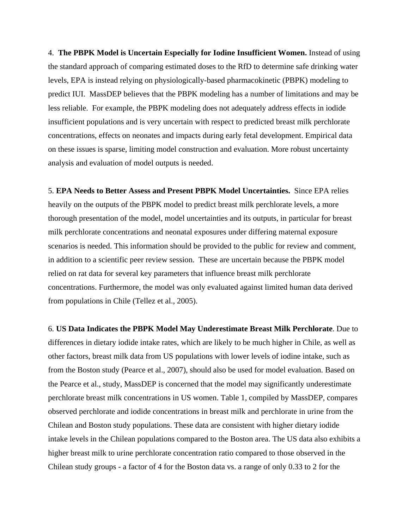4. **The PBPK Model is Uncertain Especially for Iodine Insufficient Women.** Instead of using the standard approach of comparing estimated doses to the RfD to determine safe drinking water levels, EPA is instead relying on physiologically-based pharmacokinetic (PBPK) modeling to predict IUI. MassDEP believes that the PBPK modeling has a number of limitations and may be less reliable. For example, the PBPK modeling does not adequately address effects in iodide insufficient populations and is very uncertain with respect to predicted breast milk perchlorate concentrations, effects on neonates and impacts during early fetal development. Empirical data on these issues is sparse, limiting model construction and evaluation. More robust uncertainty analysis and evaluation of model outputs is needed.

5. **EPA Needs to Better Assess and Present PBPK Model Uncertainties.** Since EPA relies heavily on the outputs of the PBPK model to predict breast milk perchlorate levels, a more thorough presentation of the model, model uncertainties and its outputs, in particular for breast milk perchlorate concentrations and neonatal exposures under differing maternal exposure scenarios is needed. This information should be provided to the public for review and comment, in addition to a scientific peer review session. These are uncertain because the PBPK model relied on rat data for several key parameters that influence breast milk perchlorate concentrations. Furthermore, the model was only evaluated against limited human data derived from populations in Chile (Tellez et al., 2005).

6. **US Data Indicates the PBPK Model May Underestimate Breast Milk Perchlorate**. Due to differences in dietary iodide intake rates, which are likely to be much higher in Chile, as well as other factors, breast milk data from US populations with lower levels of iodine intake, such as from the Boston study (Pearce et al., 2007), should also be used for model evaluation. Based on the Pearce et al., study, MassDEP is concerned that the model may significantly underestimate perchlorate breast milk concentrations in US women. Table 1, compiled by MassDEP, compares observed perchlorate and iodide concentrations in breast milk and perchlorate in urine from the Chilean and Boston study populations. These data are consistent with higher dietary iodide intake levels in the Chilean populations compared to the Boston area. The US data also exhibits a higher breast milk to urine perchlorate concentration ratio compared to those observed in the Chilean study groups - a factor of 4 for the Boston data vs. a range of only 0.33 to 2 for the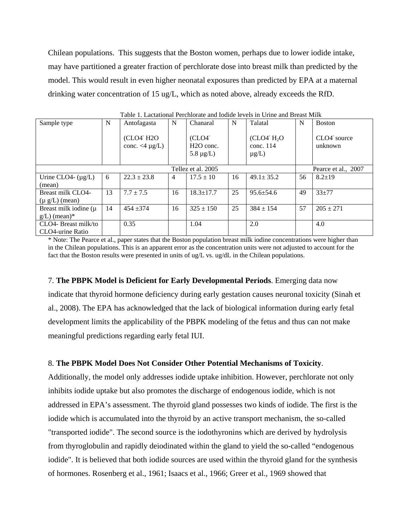Chilean populations. This suggests that the Boston women, perhaps due to lower iodide intake, may have partitioned a greater fraction of perchlorate dose into breast milk than predicted by the model. This would result in even higher neonatal exposures than predicted by EPA at a maternal drinking water concentration of 15 ug/L, which as noted above, already exceeds the RfD.

| raoic r. Lacunonar r cremorate and routue levels in Crime and Dreast Ivink |    |                                                                          |                |                                                       |    |                                          |                     |                                     |
|----------------------------------------------------------------------------|----|--------------------------------------------------------------------------|----------------|-------------------------------------------------------|----|------------------------------------------|---------------------|-------------------------------------|
| Sample type                                                                | N  | Antofagasta                                                              | N              | Chanaral                                              | N  | Talatal                                  | N                   | <b>Boston</b>                       |
|                                                                            |    | (CLO4 <sup>-</sup> H <sub>2</sub> O<br>conc. $\langle 4 \mu g/L \rangle$ |                | (CLO4 <sup>2</sup> )<br>$H2O$ conc.<br>5.8 $\mu$ g/L) |    | $(CLO4- H2O)$<br>conc. 114<br>$\mu$ g/L) |                     | CLO4 <sup>-</sup> source<br>unknown |
| Tellez et al. 2005                                                         |    |                                                                          |                |                                                       |    |                                          | Pearce et al., 2007 |                                     |
| Urine CLO4- $(\mu g/L)$                                                    | 6  | $22.3 + 23.8$                                                            | $\overline{4}$ | $17.5 \pm 10$                                         | 16 | $49.1 \pm 35.2$                          | 56                  | $8.2 + 19$                          |
| (mean)                                                                     |    |                                                                          |                |                                                       |    |                                          |                     |                                     |
| Breast milk CLO4-                                                          | 13 | $7.7 \pm 7.5$                                                            | 16             | $18.3 \pm 17.7$                                       | 25 | $95.6 \pm 54.6$                          | 49                  | $33 + 77$                           |
| $(\mu g/L)$ (mean)                                                         |    |                                                                          |                |                                                       |    |                                          |                     |                                     |
| Breast milk iodine $(\mu)$                                                 | 14 | $454 + 374$                                                              | 16             | $325 \pm 150$                                         | 25 | $384 \pm 154$                            | 57                  | $205 \pm 271$                       |
| $g/L$ ) (mean)*                                                            |    |                                                                          |                |                                                       |    |                                          |                     |                                     |
| CLO4- Breast milk/to                                                       |    | 0.35                                                                     |                | 1.04                                                  |    | 2.0                                      |                     | 4.0                                 |
| CLO4-urine Ratio                                                           |    |                                                                          |                |                                                       |    |                                          |                     |                                     |

Table 1. Lactational Perchlorate and Iodide levels in Urine and Breast Milk

\* Note: The Pearce et al., paper states that the Boston population breast milk iodine concentrations were higher than in the Chilean populations. This is an apparent error as the concentration units were not adjusted to account for the fact that the Boston results were presented in units of ug/L vs. ug/dL in the Chilean populations.

7. **The PBPK Model is Deficient for Early Developmental Periods**. Emerging data now indicate that thyroid hormone deficiency during early gestation causes neuronal toxicity (Sinah et al., 2008). The EPA has acknowledged that the lack of biological information during early fetal development limits the applicability of the PBPK modeling of the fetus and thus can not make meaningful predictions regarding early fetal IUI.

### 8. **The PBPK Model Does Not Consider Other Potential Mechanisms of Toxicity**.

Additionally, the model only addresses iodide uptake inhibition. However, perchlorate not only inhibits iodide uptake but also promotes the discharge of endogenous iodide, which is not addressed in EPA's assessment. The thyroid gland possesses two kinds of iodide. The first is the iodide which is accumulated into the thyroid by an active transport mechanism, the so-called "transported iodide". The second source is the iodothyronins which are derived by hydrolysis from thyroglobulin and rapidly deiodinated within the gland to yield the so-called "endogenous iodide". It is believed that both iodide sources are used within the thyroid gland for the synthesis of hormones. Rosenberg et al., 1961; Isaacs et al., 1966; Greer et al., 1969 showed that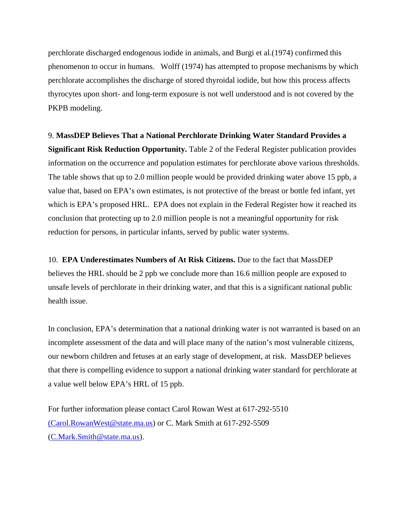perchlorate discharged endogenous iodide in animals, and Burgi et al.(1974) confirmed this phenomenon to occur in humans. Wolff (1974) has attempted to propose mechanisms by which perchlorate accomplishes the discharge of stored thyroidal iodide, but how this process affects thyrocytes upon short- and long-term exposure is not well understood and is not covered by the PKPB modeling.

#### 9. **MassDEP Believes That a National Perchlorate Drinking Water Standard Provides a**

**Significant Risk Reduction Opportunity.** Table 2 of the Federal Register publication provides information on the occurrence and population estimates for perchlorate above various thresholds. The table shows that up to 2.0 million people would be provided drinking water above 15 ppb, a value that, based on EPA's own estimates, is not protective of the breast or bottle fed infant, yet which is EPA's proposed HRL. EPA does not explain in the Federal Register how it reached its conclusion that protecting up to 2.0 million people is not a meaningful opportunity for risk reduction for persons, in particular infants, served by public water systems.

10. **EPA Underestimates Numbers of At Risk Citizens.** Due to the fact that MassDEP believes the HRL should be 2 ppb we conclude more than 16.6 million people are exposed to unsafe levels of perchlorate in their drinking water, and that this is a significant national public health issue.

In conclusion, EPA's determination that a national drinking water is not warranted is based on an incomplete assessment of the data and will place many of the nation's most vulnerable citizens, our newborn children and fetuses at an early stage of development, at risk. MassDEP believes that there is compelling evidence to support a national drinking water standard for perchlorate at a value well below EPA's HRL of 15 ppb.

For further information please contact Carol Rowan West at 617-292-5510 [\(Carol.RowanWest@state.ma.us\)](mailto:%20(Carol.RowanWest@state.ma.us) or C. Mark Smith at 617-292-5509 ([C.Mark.Smith@state.ma.us](mailto:C.Mark.Smith@state.ma.us)).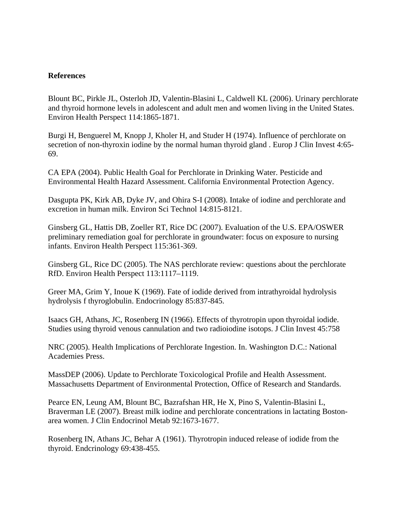# **References**

Blount BC, Pirkle JL, Osterloh JD, Valentin-Blasini L, Caldwell KL (2006). Urinary perchlorate and thyroid hormone levels in adolescent and adult men and women living in the United States. Environ Health Perspect 114:1865-1871.

Burgi H, Benguerel M, Knopp J, Kholer H, and Studer H (1974). Influence of perchlorate on secretion of non-thyroxin iodine by the normal human thyroid gland . Europ J Clin Invest 4:65- 69.

CA EPA (2004). Public Health Goal for Perchlorate in Drinking Water. Pesticide and Environmental Health Hazard Assessment. California Environmental Protection Agency.

Dasgupta PK, Kirk AB, Dyke JV, and Ohira S-I (2008). Intake of iodine and perchlorate and excretion in human milk. Environ Sci Technol 14:815-8121.

Ginsberg GL, Hattis DB, Zoeller RT, Rice DC (2007). Evaluation of the U.S. EPA/OSWER preliminary remediation goal for perchlorate in groundwater: focus on exposure to nursing infants. Environ Health Perspect 115:361-369.

Ginsberg GL, Rice DC (2005). The NAS perchlorate review: questions about the perchlorate RfD. Environ Health Perspect 113:1117–1119.

Greer MA, Grim Y, Inoue K (1969). Fate of iodide derived from intrathyroidal hydrolysis hydrolysis f thyroglobulin. Endocrinology 85:837-845.

Isaacs GH, Athans, JC, Rosenberg IN (1966). Effects of thyrotropin upon thyroidal iodide. Studies using thyroid venous cannulation and two radioiodine isotops. J Clin Invest 45:758

NRC (2005). Health Implications of Perchlorate Ingestion. In. Washington D.C.: National Academies Press.

MassDEP (2006). Update to Perchlorate Toxicological Profile and Health Assessment. Massachusetts Department of Environmental Protection, Office of Research and Standards.

Pearce EN, Leung AM, Blount BC, Bazrafshan HR, He X, Pino S, Valentin-Blasini L, Braverman LE (2007). Breast milk iodine and perchlorate concentrations in lactating Bostonarea women. J Clin Endocrinol Metab 92:1673-1677.

Rosenberg IN, Athans JC, Behar A (1961). Thyrotropin induced release of iodide from the thyroid. Endcrinology 69:438-455.